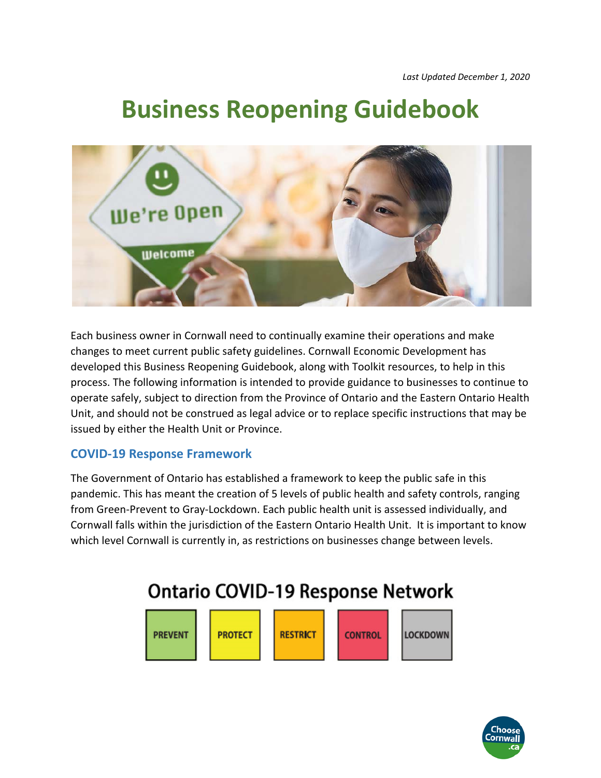# **Business Reopening Guidebook**



Each business owner in Cornwall need to continually examine their operations and make changes to meet current public safety guidelines. Cornwall Economic Development has developed this Business Reopening Guidebook, along with Toolkit resources, to help in this process. The following information is intended to provide guidance to businesses to continue to operate safely, subject to direction from the Province of Ontario and the Eastern Ontario Health Unit, and should not be construed as legal advice or to replace specific instructions that may be issued by either the Health Unit or Province.

#### **COVID‐19 Response Framework**

The Government of Ontario has established a framework to keep the public safe in this pandemic. This has meant the creation of 5 levels of public health and safety controls, ranging from Green‐Prevent to Gray‐Lockdown. Each public health unit is assessed individually, and Cornwall falls within the jurisdiction of the Eastern Ontario Health Unit. It is important to know which level Cornwall is currently in, as restrictions on businesses change between levels.

## **Ontario COVID-19 Response Network**



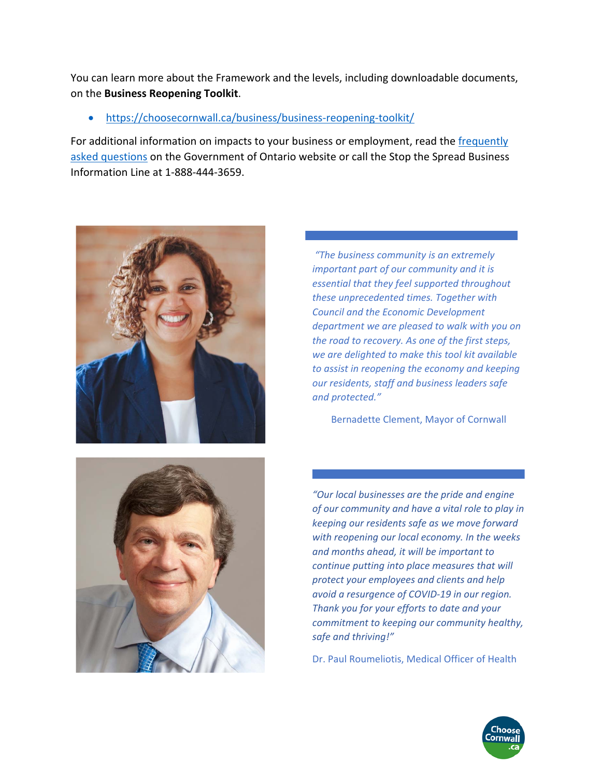You can learn more about the Framework and the levels, including downloadable documents, on the **Business Reopening Toolkit**.

#### https://choosecornwall.ca/business/business‐reopening‐toolkit/

For additional information on impacts to your business or employment, read the frequently asked questions on the Government of Ontario website or call the Stop the Spread Business Information Line at 1‐888‐444‐3659.



 *"The business community is an extremely important part of our community and it is essential that they feel supported throughout these unprecedented times. Together with Council and the Economic Development department we are pleased to walk with you on the road to recovery. As one of the first steps, we are delighted to make this tool kit available to assist in reopening the economy and keeping our residents, staff and business leaders safe and protected."* 

Bernadette Clement, Mayor of Cornwall



*"Our local businesses are the pride and engine of our community and have a vital role to play in keeping our residents safe as we move forward with reopening our local economy. In the weeks and months ahead, it will be important to continue putting into place measures that will protect your employees and clients and help avoid a resurgence of COVID‐19 in our region. Thank you for your efforts to date and your commitment to keeping our community healthy, safe and thriving!"* 

Dr. Paul Roumeliotis, Medical Officer of Health

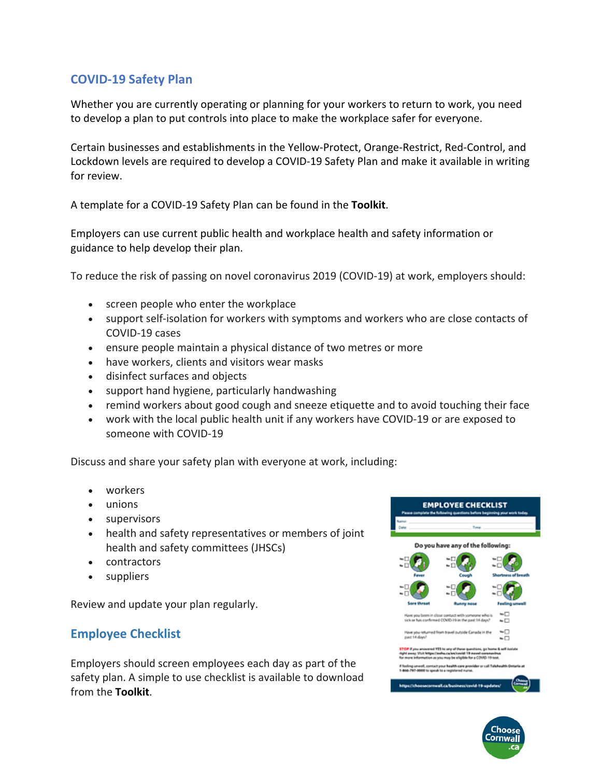#### **COVID‐19 Safety Plan**

Whether you are currently operating or planning for your workers to return to work, you need to develop a plan to put controls into place to make the workplace safer for everyone.

Certain businesses and establishments in the Yellow‐Protect, Orange‐Restrict, Red‐Control, and Lockdown levels are required to develop a COVID‐19 Safety Plan and make it available in writing for review.

A template for a COVID‐19 Safety Plan can be found in the **Toolkit**.

Employers can use current public health and workplace health and safety information or guidance to help develop their plan.

To reduce the risk of passing on novel coronavirus 2019 (COVID‐19) at work, employers should:

- screen people who enter the workplace
- support self-isolation for workers with symptoms and workers who are close contacts of COVID‐19 cases
- ensure people maintain a physical distance of two metres or more
- have workers, clients and visitors wear masks
- disinfect surfaces and objects
- support hand hygiene, particularly handwashing
- remind workers about good cough and sneeze etiquette and to avoid touching their face
- work with the local public health unit if any workers have COVID‐19 or are exposed to someone with COVID‐19

Discuss and share your safety plan with everyone at work, including:

- workers
- unions
- supervisors
- health and safety representatives or members of joint health and safety committees (JHSCs)
- contractors
- suppliers

Review and update your plan regularly.

#### **Employee Checklist**

Employers should screen employees each day as part of the safety plan. A simple to use checklist is available to download from the **Toolkit**.



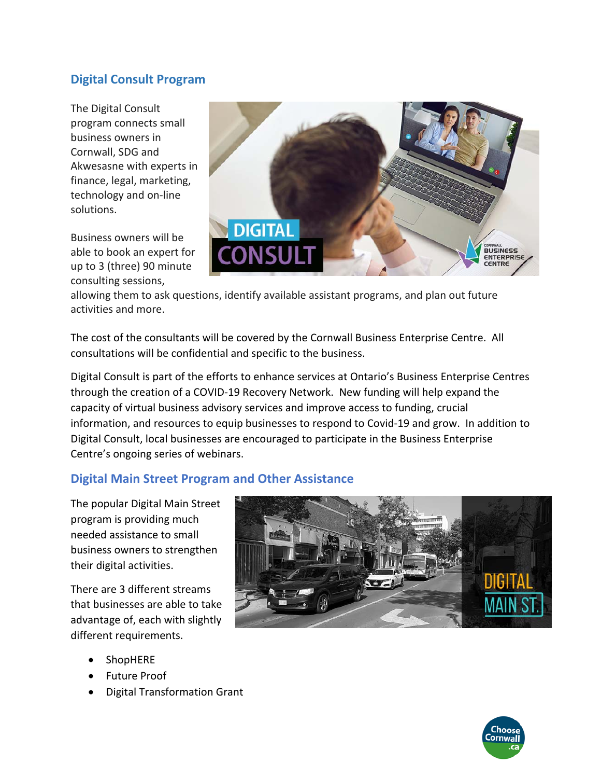#### **Digital Consult Program**

The Digital Consult program connects small business owners in Cornwall, SDG and Akwesasne with experts in finance, legal, marketing, technology and on‐line solutions.

Business owners will be able to book an expert for up to 3 (three) 90 minute consulting sessions,



allowing them to ask questions, identify available assistant programs, and plan out future activities and more.

The cost of the consultants will be covered by the Cornwall Business Enterprise Centre. All consultations will be confidential and specific to the business.

Digital Consult is part of the efforts to enhance services at Ontario's Business Enterprise Centres through the creation of a COVID‐19 Recovery Network. New funding will help expand the capacity of virtual business advisory services and improve access to funding, crucial information, and resources to equip businesses to respond to Covid‐19 and grow. In addition to Digital Consult, local businesses are encouraged to participate in the Business Enterprise Centre's ongoing series of webinars.

#### **Digital Main Street Program and Other Assistance**

The popular Digital Main Street program is providing much needed assistance to small business owners to strengthen their digital activities.

There are 3 different streams that businesses are able to take advantage of, each with slightly different requirements.

- ShopHERE
- Future Proof
- Digital Transformation Grant



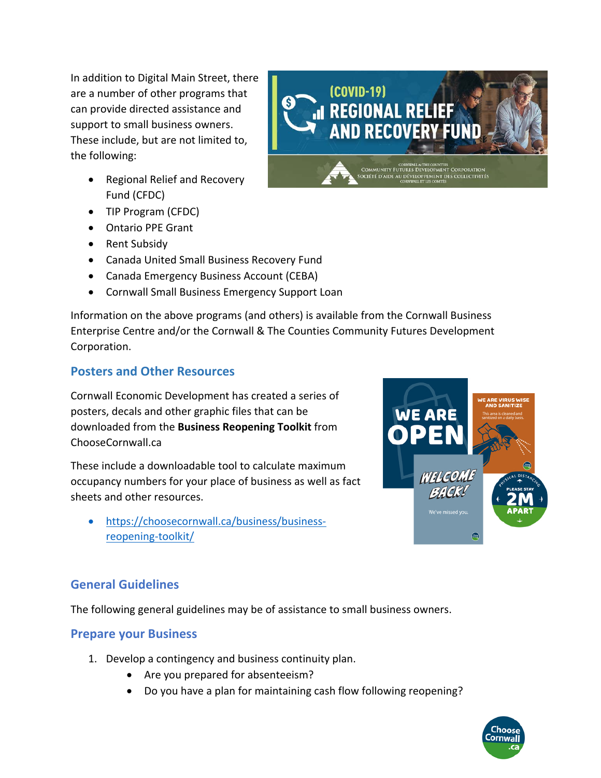In addition to Digital Main Street, there are a number of other programs that can provide directed assistance and support to small business owners. These include, but are not limited to, the following:

- Regional Relief and Recovery Fund (CFDC)
- TIP Program (CFDC)
- Ontario PPE Grant
- Rent Subsidy
- Canada United Small Business Recovery Fund
- Canada Emergency Business Account (CEBA)
- Cornwall Small Business Emergency Support Loan

Information on the above programs (and others) is available from the Cornwall Business Enterprise Centre and/or the Cornwall & The Counties Community Futures Development Corporation.

(COVID-19)

.<br>I REGIONAL RELIEF

**AND RECOVERY FUND** 

COMMUNITY FUTURES DEVELOPMENT CORPORATION OCIÉTÉ D'AIDE AU DÉVELOPPEMENT DES COLLECTIVITÉS

#### **Posters and Other Resources**

Cornwall Economic Development has created a series of posters, decals and other graphic files that can be downloaded from the **Business Reopening Toolkit** from ChooseCornwall.ca

These include a downloadable tool to calculate maximum occupancy numbers for your place of business as well as fact sheets and other resources.

 https://choosecornwall.ca/business/business‐ reopening‐toolkit/



#### **General Guidelines**

The following general guidelines may be of assistance to small business owners.

#### **Prepare your Business**

- 1. Develop a contingency and business continuity plan.
	- Are you prepared for absenteeism?
	- Do you have a plan for maintaining cash flow following reopening?

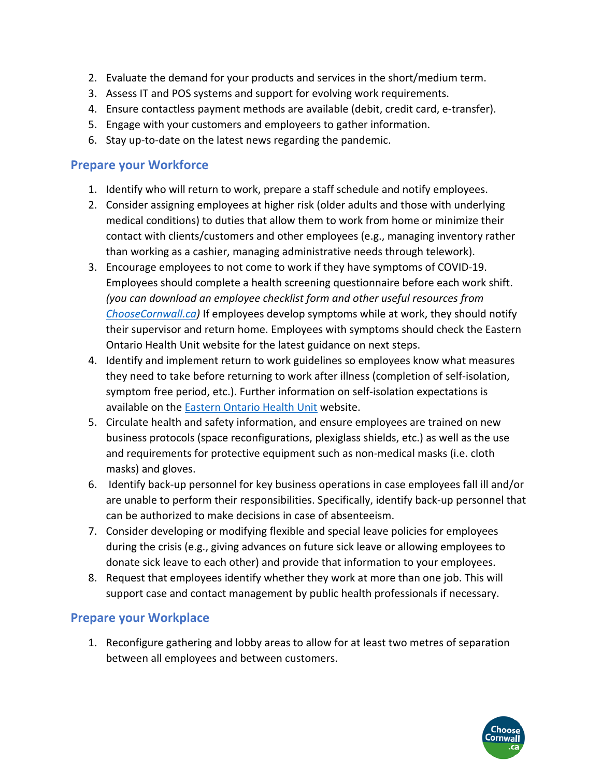- 2. Evaluate the demand for your products and services in the short/medium term.
- 3. Assess IT and POS systems and support for evolving work requirements.
- 4. Ensure contactless payment methods are available (debit, credit card, e‐transfer).
- 5. Engage with your customers and employeers to gather information.
- 6. Stay up‐to‐date on the latest news regarding the pandemic.

#### **Prepare your Workforce**

- 1. Identify who will return to work, prepare a staff schedule and notify employees.
- 2. Consider assigning employees at higher risk (older adults and those with underlying medical conditions) to duties that allow them to work from home or minimize their contact with clients/customers and other employees (e.g., managing inventory rather than working as a cashier, managing administrative needs through telework).
- 3. Encourage employees to not come to work if they have symptoms of COVID‐19. Employees should complete a health screening questionnaire before each work shift. *(you can download an employee checklist form and other useful resources from ChooseCornwall.ca)* If employees develop symptoms while at work, they should notify their supervisor and return home. Employees with symptoms should check the Eastern Ontario Health Unit website for the latest guidance on next steps.
- 4. Identify and implement return to work guidelines so employees know what measures they need to take before returning to work after illness (completion of self‐isolation, symptom free period, etc.). Further information on self-isolation expectations is available on the Eastern Ontario Health Unit website.
- 5. Circulate health and safety information, and ensure employees are trained on new business protocols (space reconfigurations, plexiglass shields, etc.) as well as the use and requirements for protective equipment such as non‐medical masks (i.e. cloth masks) and gloves.
- 6. Identify back‐up personnel for key business operations in case employees fall ill and/or are unable to perform their responsibilities. Specifically, identify back‐up personnel that can be authorized to make decisions in case of absenteeism.
- 7. Consider developing or modifying flexible and special leave policies for employees during the crisis (e.g., giving advances on future sick leave or allowing employees to donate sick leave to each other) and provide that information to your employees.
- 8. Request that employees identify whether they work at more than one job. This will support case and contact management by public health professionals if necessary.

#### **Prepare your Workplace**

1. Reconfigure gathering and lobby areas to allow for at least two metres of separation between all employees and between customers.

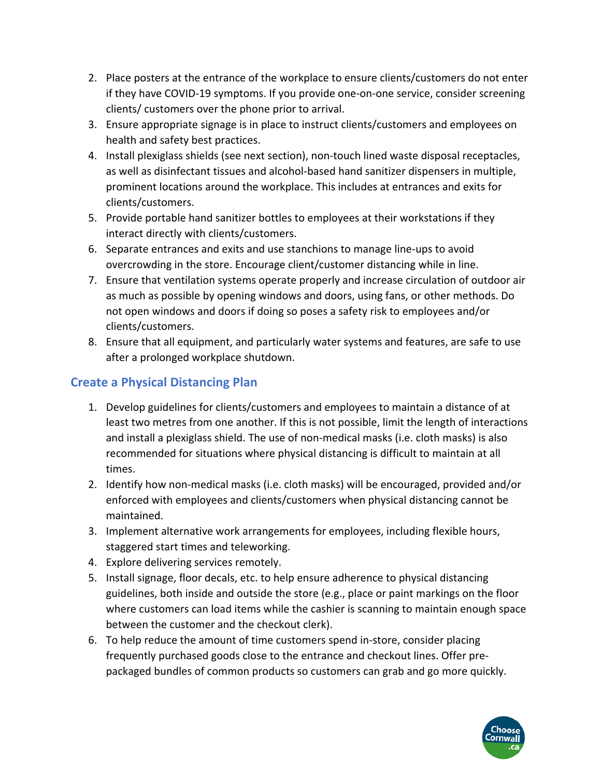- 2. Place posters at the entrance of the workplace to ensure clients/customers do not enter if they have COVID‐19 symptoms. If you provide one‐on‐one service, consider screening clients/ customers over the phone prior to arrival.
- 3. Ensure appropriate signage is in place to instruct clients/customers and employees on health and safety best practices.
- 4. Install plexiglass shields (see next section), non‐touch lined waste disposal receptacles, as well as disinfectant tissues and alcohol‐based hand sanitizer dispensers in multiple, prominent locations around the workplace. This includes at entrances and exits for clients/customers.
- 5. Provide portable hand sanitizer bottles to employees at their workstations if they interact directly with clients/customers.
- 6. Separate entrances and exits and use stanchions to manage line‐ups to avoid overcrowding in the store. Encourage client/customer distancing while in line.
- 7. Ensure that ventilation systems operate properly and increase circulation of outdoor air as much as possible by opening windows and doors, using fans, or other methods. Do not open windows and doors if doing so poses a safety risk to employees and/or clients/customers.
- 8. Ensure that all equipment, and particularly water systems and features, are safe to use after a prolonged workplace shutdown.

#### **Create a Physical Distancing Plan**

- 1. Develop guidelines for clients/customers and employees to maintain a distance of at least two metres from one another. If this is not possible, limit the length of interactions and install a plexiglass shield. The use of non‐medical masks (i.e. cloth masks) is also recommended for situations where physical distancing is difficult to maintain at all times.
- 2. Identify how non‐medical masks (i.e. cloth masks) will be encouraged, provided and/or enforced with employees and clients/customers when physical distancing cannot be maintained.
- 3. Implement alternative work arrangements for employees, including flexible hours, staggered start times and teleworking.
- 4. Explore delivering services remotely.
- 5. Install signage, floor decals, etc. to help ensure adherence to physical distancing guidelines, both inside and outside the store (e.g., place or paint markings on the floor where customers can load items while the cashier is scanning to maintain enough space between the customer and the checkout clerk).
- 6. To help reduce the amount of time customers spend in‐store, consider placing frequently purchased goods close to the entrance and checkout lines. Offer pre‐ packaged bundles of common products so customers can grab and go more quickly.

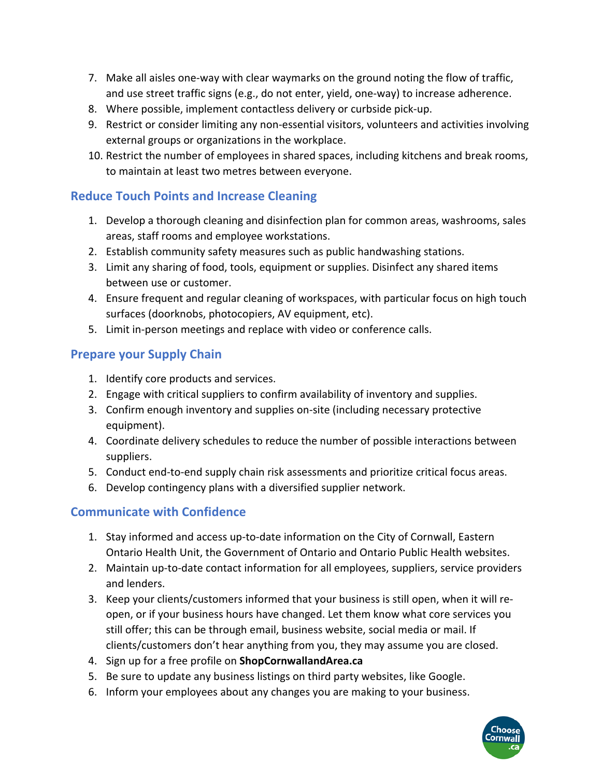- 7. Make all aisles one‐way with clear waymarks on the ground noting the flow of traffic, and use street traffic signs (e.g., do not enter, yield, one‐way) to increase adherence.
- 8. Where possible, implement contactless delivery or curbside pick‐up.
- 9. Restrict or consider limiting any non-essential visitors, volunteers and activities involving external groups or organizations in the workplace.
- 10. Restrict the number of employees in shared spaces, including kitchens and break rooms, to maintain at least two metres between everyone.

#### **Reduce Touch Points and Increase Cleaning**

- 1. Develop a thorough cleaning and disinfection plan for common areas, washrooms, sales areas, staff rooms and employee workstations.
- 2. Establish community safety measures such as public handwashing stations.
- 3. Limit any sharing of food, tools, equipment or supplies. Disinfect any shared items between use or customer.
- 4. Ensure frequent and regular cleaning of workspaces, with particular focus on high touch surfaces (doorknobs, photocopiers, AV equipment, etc).
- 5. Limit in-person meetings and replace with video or conference calls.

#### **Prepare your Supply Chain**

- 1. Identify core products and services.
- 2. Engage with critical suppliers to confirm availability of inventory and supplies.
- 3. Confirm enough inventory and supplies on‐site (including necessary protective equipment).
- 4. Coordinate delivery schedules to reduce the number of possible interactions between suppliers.
- 5. Conduct end-to-end supply chain risk assessments and prioritize critical focus areas.
- 6. Develop contingency plans with a diversified supplier network.

#### **Communicate with Confidence**

- 1. Stay informed and access up-to-date information on the City of Cornwall, Eastern Ontario Health Unit, the Government of Ontario and Ontario Public Health websites.
- 2. Maintain up-to-date contact information for all employees, suppliers, service providers and lenders.
- 3. Keep your clients/customers informed that your business is still open, when it will re‐ open, or if your business hours have changed. Let them know what core services you still offer; this can be through email, business website, social media or mail. If clients/customers don't hear anything from you, they may assume you are closed.
- 4. Sign up for a free profile on **ShopCornwallandArea.ca**
- 5. Be sure to update any business listings on third party websites, like Google.
- 6. Inform your employees about any changes you are making to your business.